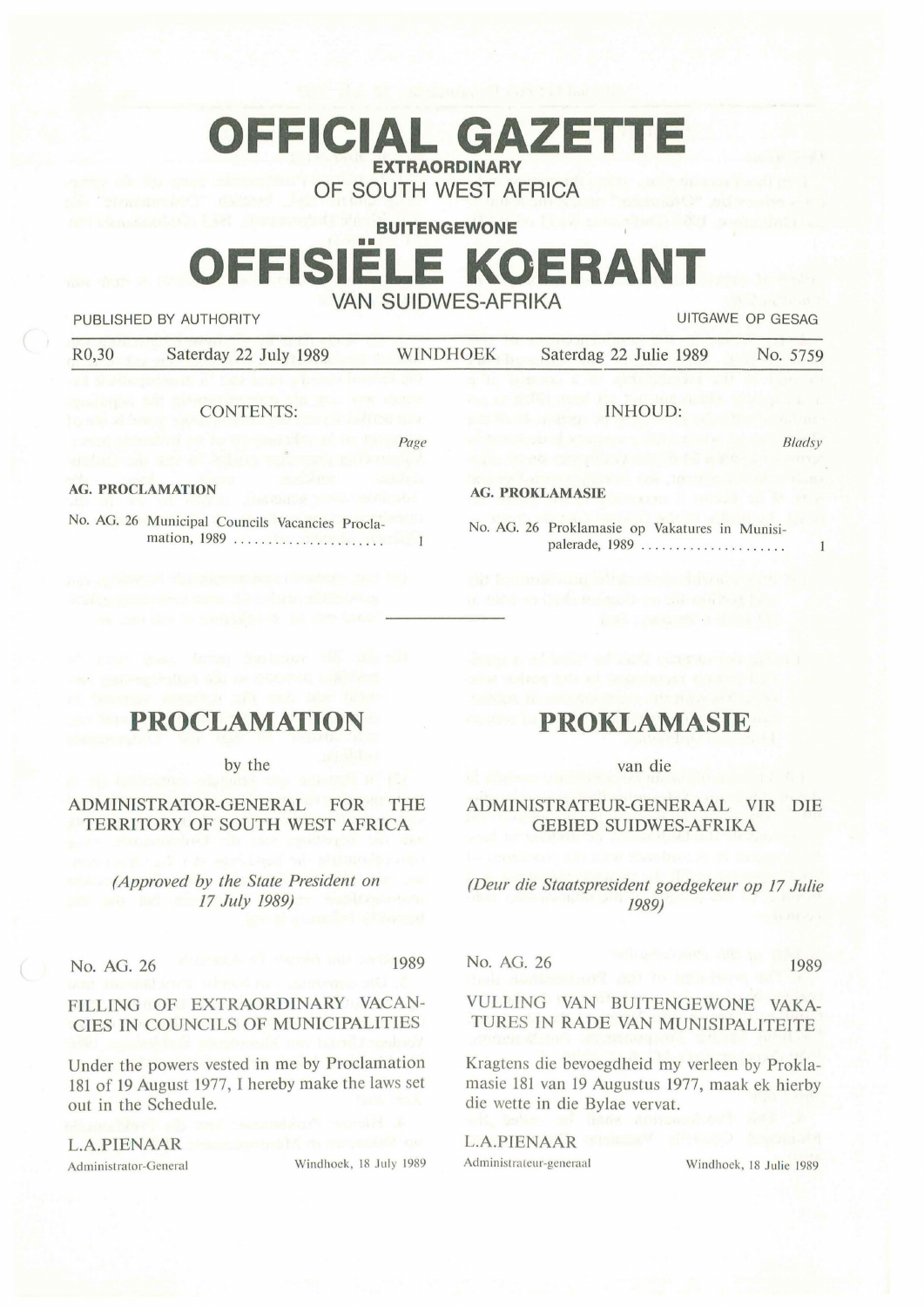# **OFFICIAL GAZET EXTRAORDINARY**

**OF SOUTH WEST AFRICA** 

# **BUITENGEWONE**  •• **OFFISIELE KOERANT VAN SUIDWES-AFRIKA**

PUBLISHED BY AUTHORITY UITGAWE OP GESAG

R0,30 Saterday 22 July 1989 WINDHOEK Saterdag 22 Julie 1989 No. 5759

Page

CONTENTS:

**Blads**y

 $\overline{1}$ 

#### **AG. PROCLAMATION**

No. AG. 26 Municipal Councils Vacancies Proclamation, 1989 . ... . . .. .. .. . .. ... . .. .

#### **AG. PROKLAMASIE**

No. AG. 26 Proklamasie op Vakatures in Munisipalerade, 1989 ......................

JNHOUD:

# **PROCLAMATION**

by the

#### ADMINISTRATOR-GENERAL FOR THE TERRITORY OF SOUTH WEST AFRICA

*(Approved by the State President on 17 July 1989)* 

No. AG. 26 1989

## FILLING OF EXTRAORDINARY VACAN-CIES IN COUNCILS OF MUNICIPALITIES

Under the powers vested in me by Proclamation 181 of 19 August 1977, I hereby make the laws set out in the Schedule.

**L.A.PIENAAR** 

Administrator-General Windhoek, 18 July 1989

# **PROKLAMASIE**

#### van die

#### ADMINISTRATEUR-GENERAAL VIR DIE GEBIED SUIDWES-AFRIKA

*(Deur die Staatspresident goedgekeur op 17 Julie 1989)* 

No. AG. 26 1989

VULLING VAN BUITENGEWONE VAKA-TURES TN RADE VAN MUNISJPALITEITE

Kragtens die bevoegdheid my verleen by Proklamasie 181 van 19 Augustus 1977, maak ek hierby die wette in die Bylae vervat.

**L.A.PIENAAR**  Administrateur-generaal Windhoek, 18 Julie 1989